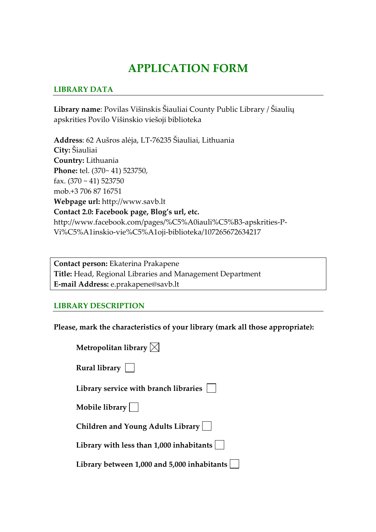# **APPLICATION FORM**

## **LIBRARY DATA**

**Library name**: Povilas Višinskis Šiauliai County Public Library / Šiaulių apskrities Povilo Višinskio viešoji biblioteka

**Address**: 62 Aušros alėja, LT-76235 Šiauliai, Lithuania **City:** Šiauliai **Country:** Lithuania **Phone:** tel. (370~ 41) 523750, fax.  $(370 \sim 41)$  523750 mob.+3 706 87 16751 **Webpage url:** http://www.savb.lt **Contact 2.0: Facebook page, Blog's url, etc.**  http://www.facebook.com/pages/%C5%A0iauli%C5%B3-apskrities-P-Vi%C5%A1inskio-vie%C5%A1oji-biblioteka/107265672634217

**Contact person:** Ekaterina Prakapene **Title:** Head, Regional Libraries and Management Department **E-mail Address:** e.prakapene@savb.lt

### **LIBRARY DESCRIPTION**

**Please, mark the characteristics of your library (mark all those appropriate):**

| Metropolitan library $\boxtimes$            |
|---------------------------------------------|
| Rural library $ $                           |
| Library service with branch libraries       |
| Mobile library $  \  $                      |
| Children and Young Adults Library           |
| Library with less than 1,000 inhabitants    |
| Library between 1,000 and 5,000 inhabitants |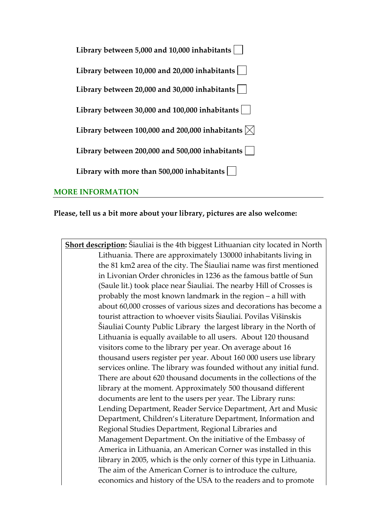| Library between 5,000 and 10,000 inhabitants               |
|------------------------------------------------------------|
| Library between 10,000 and 20,000 inhabitants              |
| Library between 20,000 and 30,000 inhabitants              |
| Library between 30,000 and 100,000 inhabitants             |
| Library between 100,000 and 200,000 inhabitants $ \times $ |
| Library between 200,000 and 500,000 inhabitants            |
| Library with more than 500,000 inhabitants                 |

### **MORE INFORMATION**

### **Please, tell us a bit more about your library, pictures are also welcome:**

**Short description:** Šiauliai is the 4th biggest Lithuanian city located in North Lithuania. There are approximately 130000 inhabitants living in the 81 km2 area of the city. The Šiauliai name was first mentioned in Livonian Order chronicles in 1236 as the famous battle of Sun (Saule lit.) took place near Šiauliai. The nearby Hill of Crosses is probably the most known landmark in the region – a hill with about 60,000 crosses of various sizes and decorations has become a tourist attraction to whoever visits Šiauliai. Povilas Višinskis Šiauliai County Public Library the largest library in the North of Lithuania is equally available to all users. About 120 thousand visitors come to the library per year. On average about 16 thousand users register per year. About 160 000 users use library services online. The library was founded without any initial fund. There are about 620 thousand documents in the collections of the library at the moment. Approximately 500 thousand different documents are lent to the users per year. The Library runs: Lending Department, Reader Service Department, Art and Music Department, Children's Literature Department, Information and Regional Studies Department, Regional Libraries and Management Department. On the initiative of the Embassy of America in Lithuania, an American Corner was installed in this library in 2005, which is the only corner of this type in Lithuania. The aim of the American Corner is to introduce the culture, economics and history of the USA to the readers and to promote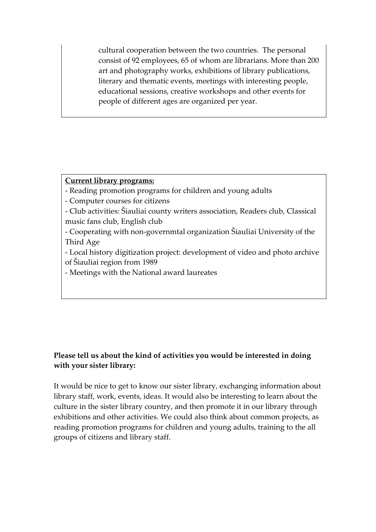cultural cooperation between the two countries. The personal consist of 92 employees, 65 of whom are librarians. More than 200 art and photography works, exhibitions of library publications, literary and thematic events, meetings with interesting people, educational sessions, creative workshops and other events for people of different ages are organized per year.

# **Current library programs:**

- Reading promotion programs for children and young adults
- Computer courses for citizens
- Club activities: Šiauliai county writers association, Readers club, Classical music fans club, English club
- Cooperating with non-governmtal organization Šiauliai University of the Third Age
- Local history digitization project: development of video and photo archive of Šiauliai region from 1989
- Meetings with the National award laureates

# **Please tell us about the kind of activities you would be interested in doing with your sister library:**

It would be nice to get to know our sister library, exchanging information about library staff, work, events, ideas. It would also be interesting to learn about the culture in the sister library country, and then promote it in our library through exhibitions and other activities. We could also think about common projects, as reading promotion programs for children and young adults, training to the all groups of citizens and library staff.